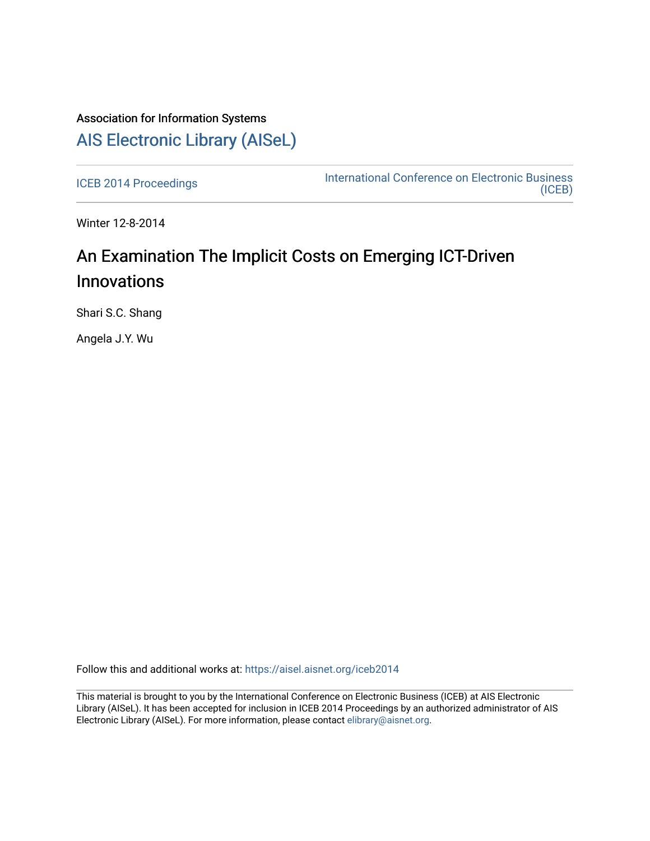## Association for Information Systems [AIS Electronic Library \(AISeL\)](https://aisel.aisnet.org/)

[ICEB 2014 Proceedings](https://aisel.aisnet.org/iceb2014) **International Conference on Electronic Business** [\(ICEB\)](https://aisel.aisnet.org/iceb) 

Winter 12-8-2014

## An Examination The Implicit Costs on Emerging ICT-Driven Innovations

Shari S.C. Shang

Angela J.Y. Wu

Follow this and additional works at: [https://aisel.aisnet.org/iceb2014](https://aisel.aisnet.org/iceb2014?utm_source=aisel.aisnet.org%2Ficeb2014%2F58&utm_medium=PDF&utm_campaign=PDFCoverPages)

This material is brought to you by the International Conference on Electronic Business (ICEB) at AIS Electronic Library (AISeL). It has been accepted for inclusion in ICEB 2014 Proceedings by an authorized administrator of AIS Electronic Library (AISeL). For more information, please contact [elibrary@aisnet.org.](mailto:elibrary@aisnet.org%3E)